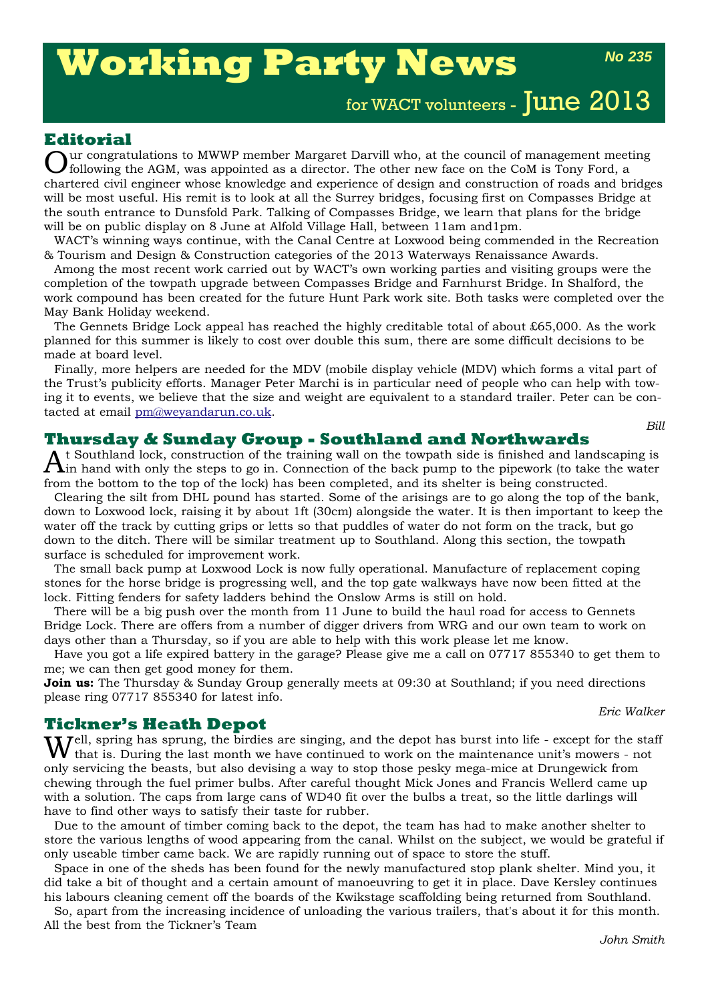# **Working Party News**

*No 235*

for WACT volunteers - June 2013

## **Editorial**

Lur congratulations to MWWP member Margaret Darvill who, at the council of management meeting following the AGM, was appointed as a director. The other new face on the CoM is Tony Ford, a chartered civil engineer whose knowledge and experience of design and construction of roads and bridges will be most useful. His remit is to look at all the Surrey bridges, focusing first on Compasses Bridge at the south entrance to Dunsfold Park. Talking of Compasses Bridge, we learn that plans for the bridge will be on public display on 8 June at Alfold Village Hall, between 11am and1pm.

WACT's winning ways continue, with the Canal Centre at Loxwood being commended in the Recreation & Tourism and Design & Construction categories of the 2013 Waterways Renaissance Awards.

Among the most recent work carried out by WACT's own working parties and visiting groups were the completion of the towpath upgrade between Compasses Bridge and Farnhurst Bridge. In Shalford, the work compound has been created for the future Hunt Park work site. Both tasks were completed over the May Bank Holiday weekend.

The Gennets Bridge Lock appeal has reached the highly creditable total of about £65,000. As the work planned for this summer is likely to cost over double this sum, there are some difficult decisions to be made at board level.

Finally, more helpers are needed for the MDV (mobile display vehicle (MDV) which forms a vital part of the Trust's publicity efforts. Manager Peter Marchi is in particular need of people who can help with towing it to events, we believe that the size and weight are equivalent to a standard trailer. Peter can be contacted at email pm@weyandarun.co.uk.

*Bill*

## **Thursday & Sunday Group - Southland and Northwards**

t Southland lock, construction of the training wall on the towpath side is finished and landscaping is  $\boldsymbol{\Lambda}$ in hand with only the steps to go in. Connection of the back pump to the pipework (to take the water from the bottom to the top of the lock) has been completed, and its shelter is being constructed.

Clearing the silt from DHL pound has started. Some of the arisings are to go along the top of the bank, down to Loxwood lock, raising it by about 1ft (30cm) alongside the water. It is then important to keep the water off the track by cutting grips or letts so that puddles of water do not form on the track, but go down to the ditch. There will be similar treatment up to Southland. Along this section, the towpath surface is scheduled for improvement work.

The small back pump at Loxwood Lock is now fully operational. Manufacture of replacement coping stones for the horse bridge is progressing well, and the top gate walkways have now been fitted at the lock. Fitting fenders for safety ladders behind the Onslow Arms is still on hold.

There will be a big push over the month from 11 June to build the haul road for access to Gennets Bridge Lock. There are offers from a number of digger drivers from WRG and our own team to work on days other than a Thursday, so if you are able to help with this work please let me know.

Have you got a life expired battery in the garage? Please give me a call on 07717 855340 to get them to me; we can then get good money for them.

**Join us:** The Thursday & Sunday Group generally meets at 09:30 at Southland; if you need directions please ring 07717 855340 for latest info.

### **Tickner's Heath Depot**

Well, spring has sprung, the birdies are singing, and the depot has burst into life - except for the staff that is. During the last month we have continued to work on the maintenance unit's mowers - not only servicing the beasts, but also devising a way to stop those pesky mega-mice at Drungewick from chewing through the fuel primer bulbs. After careful thought Mick Jones and Francis Wellerd came up with a solution. The caps from large cans of WD40 fit over the bulbs a treat, so the little darlings will have to find other ways to satisfy their taste for rubber.

Due to the amount of timber coming back to the depot, the team has had to make another shelter to store the various lengths of wood appearing from the canal. Whilst on the subject, we would be grateful if only useable timber came back. We are rapidly running out of space to store the stuff.

Space in one of the sheds has been found for the newly manufactured stop plank shelter. Mind you, it did take a bit of thought and a certain amount of manoeuvring to get it in place. Dave Kersley continues his labours cleaning cement off the boards of the Kwikstage scaffolding being returned from Southland.

So, apart from the increasing incidence of unloading the various trailers, that's about it for this month. All the best from the Tickner's Team

*Eric Walker*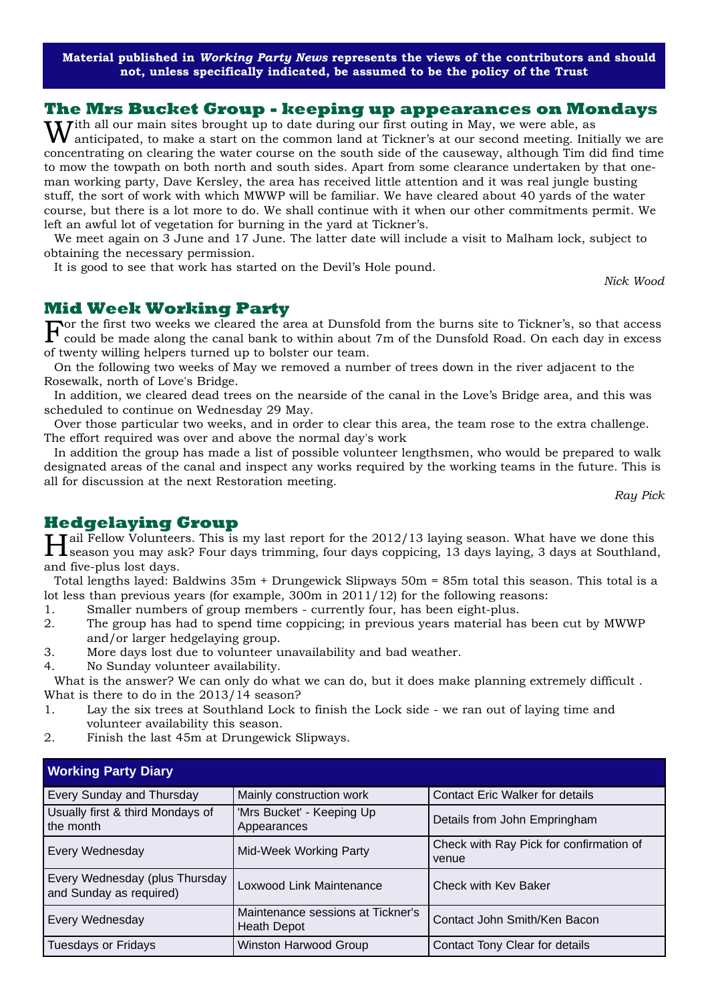**Material published in** *Working Party News* **represents the views of the contributors and should not, unless specifically indicated, be assumed to be the policy of the Trust**

#### **The Mrs Bucket Group - keeping up appearances on Mondays**

With all our main sites brought up to date during our first outing in May, we were able, as<br>Wanticipated, to make a start on the common land at Tickner's at our second meeting. Initially we are concentrating on clearing the water course on the south side of the causeway, although Tim did find time to mow the towpath on both north and south sides. Apart from some clearance undertaken by that oneman working party, Dave Kersley, the area has received little attention and it was real jungle busting stuff, the sort of work with which MWWP will be familiar. We have cleared about 40 yards of the water course, but there is a lot more to do. We shall continue with it when our other commitments permit. We left an awful lot of vegetation for burning in the yard at Tickner's.

We meet again on 3 June and 17 June. The latter date will include a visit to Malham lock, subject to obtaining the necessary permission.

It is good to see that work has started on the Devil's Hole pound.

## **Mid Week Working Party**

For the first two weeks we cleared the area at Dunsfold from the burns site to Tickner's, so that access could be made along the canal bank to within about 7m of the Dunsfold Road. On each day in excess of twenty willing helpers turned up to bolster our team.

On the following two weeks of May we removed a number of trees down in the river adjacent to the Rosewalk, north of Love's Bridge.

In addition, we cleared dead trees on the nearside of the canal in the Love's Bridge area, and this was scheduled to continue on Wednesday 29 May.

Over those particular two weeks, and in order to clear this area, the team rose to the extra challenge. The effort required was over and above the normal day's work

In addition the group has made a list of possible volunteer lengthsmen, who would be prepared to walk designated areas of the canal and inspect any works required by the working teams in the future. This is all for discussion at the next Restoration meeting.

*Ray Pick*

*Nick Wood*

# **Hedgelaying Group**

Hail Fellow Volunteers. This is my last report for the 2012/13 laying season. What have we done this season you may ask? Four days trimming, four days coppicing, 13 days laying, 3 days at Southland, and five-plus lost days.

Total lengths layed: Baldwins 35m + Drungewick Slipways 50m = 85m total this season. This total is a lot less than previous years (for example, 300m in 2011/12) for the following reasons:

- 1. Smaller numbers of group members currently four, has been eight-plus.
- 2. The group has had to spend time coppicing; in previous years material has been cut by MWWP and/or larger hedgelaying group.
- 3. More days lost due to volunteer unavailability and bad weather.
- 4. No Sunday volunteer availability.

What is the answer? We can only do what we can do, but it does make planning extremely difficult. What is there to do in the 2013/14 season?

- 1. Lay the six trees at Southland Lock to finish the Lock side we ran out of laying time and volunteer availability this season.
- 2. Finish the last 45m at Drungewick Slipways.

| <b>Working Party Diary</b>                                |                                                         |                                                  |
|-----------------------------------------------------------|---------------------------------------------------------|--------------------------------------------------|
| Every Sunday and Thursday                                 | Mainly construction work                                | <b>Contact Eric Walker for details</b>           |
| Usually first & third Mondays of<br>the month             | 'Mrs Bucket' - Keeping Up<br>Appearances                | Details from John Empringham                     |
| Every Wednesday                                           | Mid-Week Working Party                                  | Check with Ray Pick for confirmation of<br>venue |
| Every Wednesday (plus Thursday<br>and Sunday as required) | Loxwood Link Maintenance                                | Check with Kev Baker                             |
| Every Wednesday                                           | Maintenance sessions at Tickner's<br><b>Heath Depot</b> | Contact John Smith/Ken Bacon                     |
| <b>Tuesdays or Fridays</b>                                | <b>Winston Harwood Group</b>                            | Contact Tony Clear for details                   |